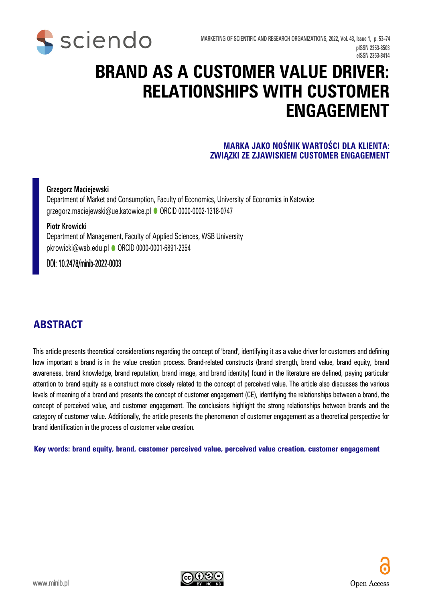

# **BRAND AS A CUSTOMER VALUE DRIVER: RELATIONSHIPS WITH CUSTOMER ENGAGEMENT**

#### **MARKA JAKO NOŚNIK WARTOŚCI DLA KLIENTA: ZWIĄZKI ZE ZJAWISKIEM CUSTOMER ENGAGEMENT**

#### **Grzegorz Maciejewski**

Department of Market and Consumption, Faculty of Economics, University of Economics in Katowice grzegorz.maciejewski@ue.katowice.pl · [ORCID 0000-0002-1318-0747](https://orcid.org/0000-0002-1318-0747)

#### **Piotr Krowicki**

Department of Management, Faculty of Applied Sciences, WSB University pkrowicki@wsb.edu.pl @ [ORCID 0000-0001-6891-2354](https://orcid.org/0000-0001-6891-2354)

#### DOI: 10.2478/minib-2022-0003

#### **ABSTRACT**

This article presents theoretical considerations regarding the concept of 'brand', identifying it as a value driver for customers and defining how important a brand is in the value creation process. Brand-related constructs (brand strength, brand value, brand equity, brand awareness, brand knowledge, brand reputation, brand image, and brand identity) found in the literature are defined, paying particular attention to brand equity as a construct more closely related to the concept of perceived value. The article also discusses the various levels of meaning of a brand and presents the concept of customer engagement (CE), identifying the relationships between a brand, the concept of perceived value, and customer engagement. The conclusions highlight the strong relationships between brands and the category of customer value. Additionally, the article presents the phenomenon of customer engagement as a theoretical perspective for brand identification in the process of customer value creation.

**Key words: brand equity, brand, customer perceived value, perceived value creation, customer engagement** 

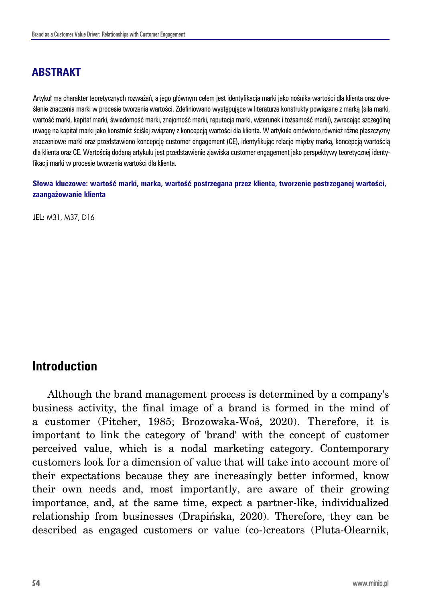# **ABSTRAKT**

Artykuł ma charakter teoretycznych rozważań, a jego głównym celem jest identyfikacja marki jako nośnika wartości dla klienta oraz określenie znaczenia marki w procesie tworzenia wartości. Zdefiniowano występujące w literaturze konstrukty powiązane z marką (siła marki, wartość marki, kapitał marki, świadomość marki, znajomość marki, reputacja marki, wizerunek i tożsamość marki), zwracając szczególną uwagę na kapitał marki jako konstrukt ściślej związany z koncepcją wartości dla klienta. W artykule omówiono również różne płaszczyzny znaczeniowe marki oraz przedstawiono koncepcję customer engagement (CE), identyfikując relacje między marką, koncepcją wartością dla klienta oraz CE. Wartością dodaną artykułu jest przedstawienie zjawiska customer engagement jako perspektywy teoretycznej identyfikacji marki w procesie tworzenia wartości dla klienta.

**Słowa kluczowe: wartość marki, marka, wartość postrzegana przez klienta, tworzenie postrzeganej wartości, zaangażowanie klienta**

**JEL: M31, M37, D16** 

## **Introduction**

Although the brand management process is determined by a company's business activity, the final image of a brand is formed in the mind of a customer (Pitcher, 1985; Brozowska-Woś, 2020). Therefore, it is important to link the category of 'brand' with the concept of customer perceived value, which is a nodal marketing category. Contemporary customers look for a dimension of value that will take into account more of their expectations because they are increasingly better informed, know their own needs and, most importantly, are aware of their growing importance, and, at the same time, expect a partner-like, individualized relationship from businesses (Drapińska, 2020). Therefore, they can be described as engaged customers or value (co-)creators (Pluta-Olearnik,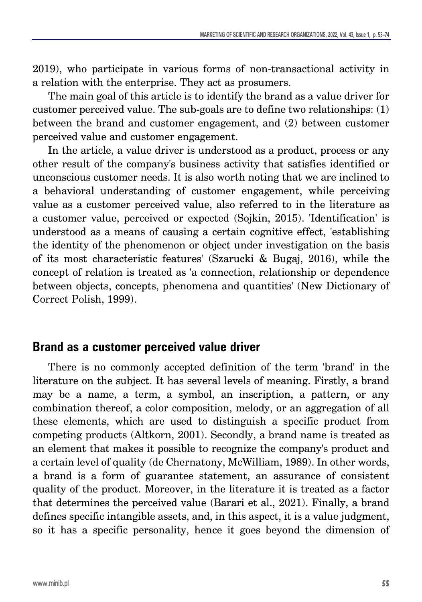2019), who participate in various forms of non-transactional activity in a relation with the enterprise. They act as prosumers.

The main goal of this article is to identify the brand as a value driver for customer perceived value. The sub-goals are to define two relationships: (1) between the brand and customer engagement, and (2) between customer perceived value and customer engagement.

In the article, a value driver is understood as a product, process or any other result of the company's business activity that satisfies identified or unconscious customer needs. It is also worth noting that we are inclined to a behavioral understanding of customer engagement, while perceiving value as a customer perceived value, also referred to in the literature as a customer value, perceived or expected (Sojkin, 2015). 'Identification' is understood as a means of causing a certain cognitive effect, 'establishing the identity of the phenomenon or object under investigation on the basis of its most characteristic features' (Szarucki & Bugaj, 2016), while the concept of relation is treated as 'a connection, relationship or dependence between objects, concepts, phenomena and quantities' (New Dictionary of Correct Polish, 1999).

## **Brand as a customer perceived value driver**

There is no commonly accepted definition of the term 'brand' in the literature on the subject. It has several levels of meaning. Firstly, a brand may be a name, a term, a symbol, an inscription, a pattern, or any combination thereof, a color composition, melody, or an aggregation of all these elements, which are used to distinguish a specific product from competing products (Altkorn, 2001). Secondly, a brand name is treated as an element that makes it possible to recognize the company's product and a certain level of quality (de Chernatony, McWilliam, 1989). In other words, a brand is a form of guarantee statement, an assurance of consistent quality of the product. Moreover, in the literature it is treated as a factor that determines the perceived value (Barari et al., 2021). Finally, a brand defines specific intangible assets, and, in this aspect, it is a value judgment, so it has a specific personality, hence it goes beyond the dimension of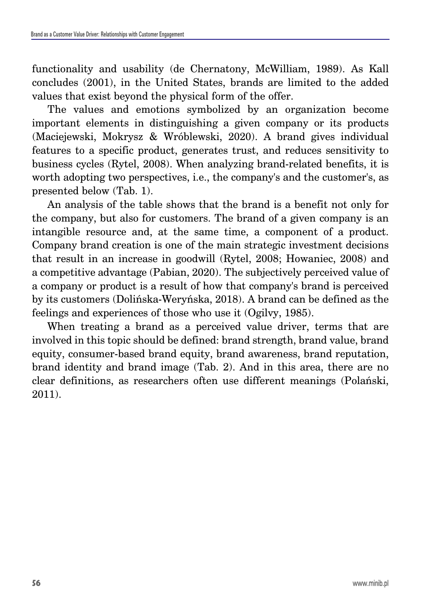functionality and usability (de Chernatony, McWilliam, 1989). As Kall concludes (2001), in the United States, brands are limited to the added values that exist beyond the physical form of the offer.

The values and emotions symbolized by an organization become important elements in distinguishing a given company or its products (Maciejewski, Mokrysz & Wróblewski, 2020). A brand gives individual features to a specific product, generates trust, and reduces sensitivity to business cycles (Rytel, 2008). When analyzing brand-related benefits, it is worth adopting two perspectives, i.e., the company's and the customer's, as presented below (Tab. 1).

An analysis of the table shows that the brand is a benefit not only for the company, but also for customers. The brand of a given company is an intangible resource and, at the same time, a component of a product. Company brand creation is one of the main strategic investment decisions that result in an increase in goodwill (Rytel, 2008; Howaniec, 2008) and a competitive advantage (Pabian, 2020). The subjectively perceived value of a company or product is a result of how that company's brand is perceived by its customers (Dolińska-Weryńska, 2018). A brand can be defined as the feelings and experiences of those who use it (Ogilvy, 1985).

When treating a brand as a perceived value driver, terms that are involved in this topic should be defined: brand strength, brand value, brand equity, consumer-based brand equity, brand awareness, brand reputation, brand identity and brand image (Tab. 2). And in this area, there are no clear definitions, as researchers often use different meanings (Polański, 2011).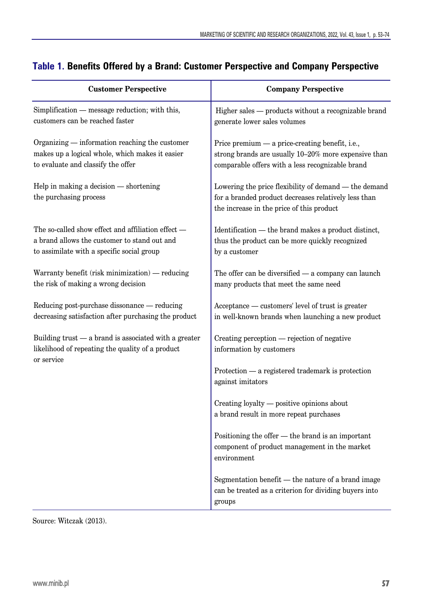| <b>Customer Perspective</b>                                                                                                                      | <b>Company Perspective</b>                                                                                                                                  |
|--------------------------------------------------------------------------------------------------------------------------------------------------|-------------------------------------------------------------------------------------------------------------------------------------------------------------|
| Simplification — message reduction; with this,<br>customers can be reached faster                                                                | Higher sales - products without a recognizable brand<br>generate lower sales volumes                                                                        |
| Organizing — information reaching the customer<br>makes up a logical whole, which makes it easier<br>to evaluate and classify the offer          | Price premium — a price-creating benefit, i.e.,<br>strong brands are usually 10-20% more expensive than<br>comparable offers with a less recognizable brand |
| Help in making a decision - shortening<br>the purchasing process                                                                                 | Lowering the price flexibility of demand — the demand<br>for a branded product decreases relatively less than<br>the increase in the price of this product  |
| The so-called show effect and affiliation effect -<br>a brand allows the customer to stand out and<br>to assimilate with a specific social group | Identification — the brand makes a product distinct,<br>thus the product can be more quickly recognized<br>by a customer                                    |
| Warranty benefit (risk minimization) — reducing<br>the risk of making a wrong decision                                                           | The offer can be diversified $-$ a company can launch<br>many products that meet the same need                                                              |
| Reducing post-purchase dissonance — reducing<br>decreasing satisfaction after purchasing the product                                             | Acceptance — customers' level of trust is greater<br>in well-known brands when launching a new product                                                      |
| Building trust — a brand is associated with a greater<br>likelihood of repeating the quality of a product<br>or service                          | Creating perception — rejection of negative<br>information by customers                                                                                     |
|                                                                                                                                                  | Protection — a registered trademark is protection<br>against imitators                                                                                      |
|                                                                                                                                                  | Creating loyalty — positive opinions about<br>a brand result in more repeat purchases                                                                       |
|                                                                                                                                                  | Positioning the offer — the brand is an important<br>component of product management in the market<br>environment                                           |
|                                                                                                                                                  | Segmentation benefit - the nature of a brand image<br>can be treated as a criterion for dividing buyers into<br>groups                                      |

### **Table 1. Benefits Offered by a Brand: Customer Perspective and Company Perspective**

Source: Witczak (2013).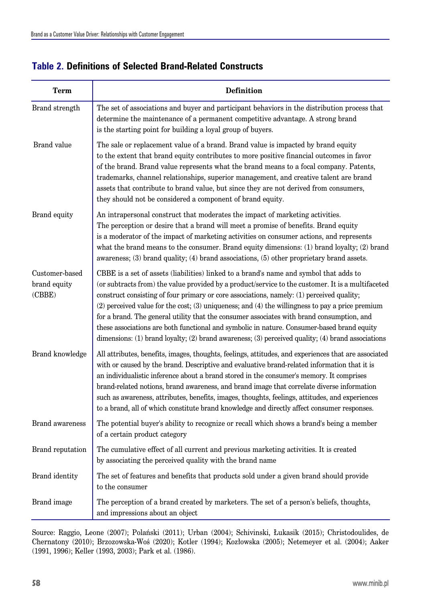| <b>Term</b>                              | <b>Definition</b>                                                                                                                                                                                                                                                                                                                                                                                                                                                                                                                                                                                                                                                                                  |
|------------------------------------------|----------------------------------------------------------------------------------------------------------------------------------------------------------------------------------------------------------------------------------------------------------------------------------------------------------------------------------------------------------------------------------------------------------------------------------------------------------------------------------------------------------------------------------------------------------------------------------------------------------------------------------------------------------------------------------------------------|
| Brand strength                           | The set of associations and buyer and participant behaviors in the distribution process that<br>determine the maintenance of a permanent competitive advantage. A strong brand<br>is the starting point for building a loyal group of buyers.                                                                                                                                                                                                                                                                                                                                                                                                                                                      |
| Brand value                              | The sale or replacement value of a brand. Brand value is impacted by brand equity<br>to the extent that brand equity contributes to more positive financial outcomes in favor<br>of the brand. Brand value represents what the brand means to a focal company. Patents,<br>trademarks, channel relationships, superior management, and creative talent are brand<br>assets that contribute to brand value, but since they are not derived from consumers,<br>they should not be considered a component of brand equity.                                                                                                                                                                            |
| Brand equity                             | An intrapersonal construct that moderates the impact of marketing activities.<br>The perception or desire that a brand will meet a promise of benefits. Brand equity<br>is a moderator of the impact of marketing activities on consumer actions, and represents<br>what the brand means to the consumer. Brand equity dimensions: (1) brand loyalty; (2) brand<br>awareness; (3) brand quality; (4) brand associations, (5) other proprietary brand assets.                                                                                                                                                                                                                                       |
| Customer-based<br>brand equity<br>(CBBE) | CBBE is a set of assets (liabilities) linked to a brand's name and symbol that adds to<br>(or subtracts from) the value provided by a product/service to the customer. It is a multifaceted<br>construct consisting of four primary or core associations, namely: (1) perceived quality;<br>$(2)$ perceived value for the cost; $(3)$ uniqueness; and $(4)$ the willingness to pay a price premium<br>for a brand. The general utility that the consumer associates with brand consumption, and<br>these associations are both functional and symbolic in nature. Consumer-based brand equity<br>dimensions: (1) brand loyalty; (2) brand awareness; (3) perceived quality; (4) brand associations |
| Brand knowledge                          | All attributes, benefits, images, thoughts, feelings, attitudes, and experiences that are associated<br>with or caused by the brand. Descriptive and evaluative brand-related information that it is<br>an individualistic inference about a brand stored in the consumer's memory. It comprises<br>brand-related notions, brand awareness, and brand image that correlate diverse information<br>such as awareness, attributes, benefits, images, thoughts, feelings, attitudes, and experiences<br>to a brand, all of which constitute brand knowledge and directly affect consumer responses.                                                                                                   |
| <b>Brand awareness</b>                   | The potential buyer's ability to recognize or recall which shows a brand's being a member<br>of a certain product category                                                                                                                                                                                                                                                                                                                                                                                                                                                                                                                                                                         |
| Brand reputation                         | The cumulative effect of all current and previous marketing activities. It is created<br>by associating the perceived quality with the brand name                                                                                                                                                                                                                                                                                                                                                                                                                                                                                                                                                  |
| Brand identity                           | The set of features and benefits that products sold under a given brand should provide<br>to the consumer                                                                                                                                                                                                                                                                                                                                                                                                                                                                                                                                                                                          |
| Brand image                              | The perception of a brand created by marketers. The set of a person's beliefs, thoughts,<br>and impressions about an object                                                                                                                                                                                                                                                                                                                                                                                                                                                                                                                                                                        |

#### **Table 2. Definitions of Selected Brand-Related Constructs**

Source: Raggio, Leone (2007); Polański (2011); Urban (2004); Schivinski, Łukasik (2015); Christodoulides, de Chernatony (2010); Brzozowska-Woś (2020); Kotler (1994); Kozłowska (2005); Netemeyer et al. (2004); Aaker (1991, 1996); Keller (1993, 2003); Park et al. (1986).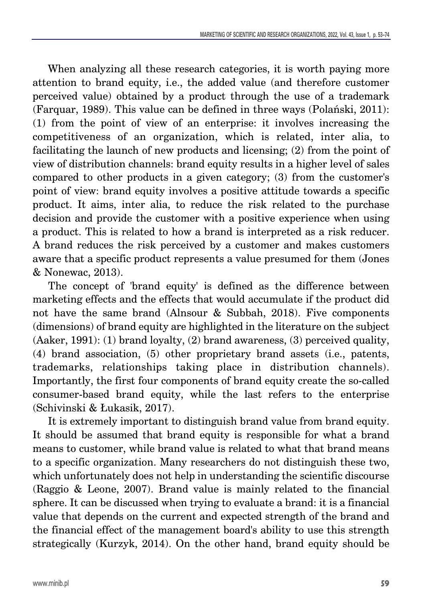When analyzing all these research categories, it is worth paying more attention to brand equity, i.e., the added value (and therefore customer perceived value) obtained by a product through the use of a trademark (Farquar, 1989). This value can be defined in three ways (Polański, 2011): (1) from the point of view of an enterprise: it involves increasing the competitiveness of an organization, which is related, inter alia, to facilitating the launch of new products and licensing; (2) from the point of view of distribution channels: brand equity results in a higher level of sales compared to other products in a given category; (3) from the customer's point of view: brand equity involves a positive attitude towards a specific product. It aims, inter alia, to reduce the risk related to the purchase decision and provide the customer with a positive experience when using a product. This is related to how a brand is interpreted as a risk reducer. A brand reduces the risk perceived by a customer and makes customers aware that a specific product represents a value presumed for them (Jones & Nonewac, 2013).

The concept of 'brand equity' is defined as the difference between marketing effects and the effects that would accumulate if the product did not have the same brand (Alnsour & Subbah, 2018). Five components (dimensions) of brand equity are highlighted in the literature on the subject (Aaker, 1991): (1) brand loyalty, (2) brand awareness, (3) perceived quality, (4) brand association, (5) other proprietary brand assets (i.e., patents, trademarks, relationships taking place in distribution channels). Importantly, the first four components of brand equity create the so-called consumer-based brand equity, while the last refers to the enterprise (Schivinski & Łukasik, 2017).

It is extremely important to distinguish brand value from brand equity. It should be assumed that brand equity is responsible for what a brand means to customer, while brand value is related to what that brand means to a specific organization. Many researchers do not distinguish these two, which unfortunately does not help in understanding the scientific discourse (Raggio & Leone, 2007). Brand value is mainly related to the financial sphere. It can be discussed when trying to evaluate a brand: it is a financial value that depends on the current and expected strength of the brand and the financial effect of the management board's ability to use this strength strategically (Kurzyk, 2014). On the other hand, brand equity should be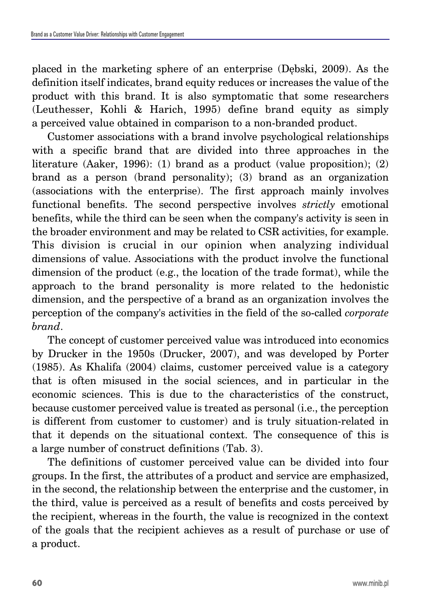placed in the marketing sphere of an enterprise (Dębski, 2009). As the definition itself indicates, brand equity reduces or increases the value of the product with this brand. It is also symptomatic that some researchers (Leuthesser, Kohli & Harich, 1995) define brand equity as simply a perceived value obtained in comparison to a non-branded product.

Customer associations with a brand involve psychological relationships with a specific brand that are divided into three approaches in the literature (Aaker, 1996): (1) brand as a product (value proposition); (2) brand as a person (brand personality); (3) brand as an organization (associations with the enterprise). The first approach mainly involves functional benefits. The second perspective involves *strictly* emotional benefits, while the third can be seen when the company's activity is seen in the broader environment and may be related to CSR activities, for example. This division is crucial in our opinion when analyzing individual dimensions of value. Associations with the product involve the functional dimension of the product (e.g., the location of the trade format), while the approach to the brand personality is more related to the hedonistic dimension, and the perspective of a brand as an organization involves the perception of the company's activities in the field of the so-called *corporate brand*.

The concept of customer perceived value was introduced into economics by Drucker in the 1950s (Drucker, 2007), and was developed by Porter (1985). As Khalifa (2004) claims, customer perceived value is a category that is often misused in the social sciences, and in particular in the economic sciences. This is due to the characteristics of the construct, because customer perceived value is treated as personal (i.e., the perception is different from customer to customer) and is truly situation-related in that it depends on the situational context. The consequence of this is a large number of construct definitions (Tab. 3).

The definitions of customer perceived value can be divided into four groups. In the first, the attributes of a product and service are emphasized, in the second, the relationship between the enterprise and the customer, in the third, value is perceived as a result of benefits and costs perceived by the recipient, whereas in the fourth, the value is recognized in the context of the goals that the recipient achieves as a result of purchase or use of a product.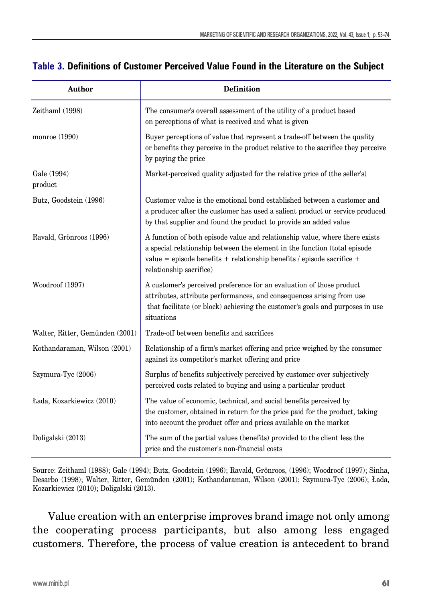| <b>Author</b>                   | Definition                                                                                                                                                                                                                                                    |
|---------------------------------|---------------------------------------------------------------------------------------------------------------------------------------------------------------------------------------------------------------------------------------------------------------|
| Zeithaml (1998)                 | The consumer's overall assessment of the utility of a product based<br>on perceptions of what is received and what is given                                                                                                                                   |
| monroe $(1990)$                 | Buyer perceptions of value that represent a trade-off between the quality<br>or benefits they perceive in the product relative to the sacrifice they perceive<br>by paying the price                                                                          |
| Gale (1994)<br>product          | Market-perceived quality adjusted for the relative price of (the seller's)                                                                                                                                                                                    |
| Butz, Goodstein (1996)          | Customer value is the emotional bond established between a customer and<br>a producer after the customer has used a salient product or service produced<br>by that supplier and found the product to provide an added value                                   |
| Ravald, Grönroos (1996)         | A function of both episode value and relationship value, where there exists<br>a special relationship between the element in the function (total episode<br>value = episode benefits + relationship benefits / episode sacrifice +<br>relationship sacrifice) |
| Woodroof (1997)                 | A customer's perceived preference for an evaluation of those product<br>attributes, attribute performances, and consequences arising from use<br>that facilitate (or block) achieving the customer's goals and purposes in use<br>situations                  |
| Walter, Ritter, Gemünden (2001) | Trade-off between benefits and sacrifices                                                                                                                                                                                                                     |
| Kothandaraman, Wilson (2001)    | Relationship of a firm's market offering and price weighed by the consumer<br>against its competitor's market offering and price                                                                                                                              |
| Szymura-Tyc (2006)              | Surplus of benefits subjectively perceived by customer over subjectively<br>perceived costs related to buying and using a particular product                                                                                                                  |
| Łada, Kozarkiewicz (2010)       | The value of economic, technical, and social benefits perceived by<br>the customer, obtained in return for the price paid for the product, taking<br>into account the product offer and prices available on the market                                        |
| Doligalski (2013)               | The sum of the partial values (benefits) provided to the client less the<br>price and the customer's non-financial costs                                                                                                                                      |

#### **Table 3. Definitions of Customer Perceived Value Found in the Literature on the Subject**

Source: Zeithaml (1988); Gale (1994); Butz, Goodstein (1996); Ravald, Grönroos, (1996); Woodroof (1997); Sinha, Desarbo (1998); Walter, Ritter, Gemünden (2001); Kothandaraman, Wilson (2001); Szymura-Tyc (2006); Łada, Kozarkiewicz (2010); Doligalski (2013).

Value creation with an enterprise improves brand image not only among the cooperating process participants, but also among less engaged customers. Therefore, the process of value creation is antecedent to brand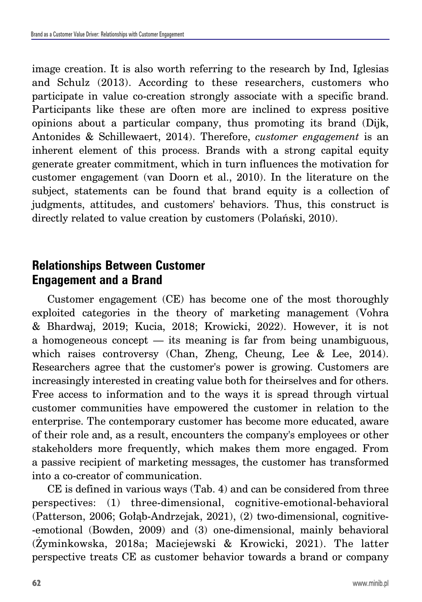image creation. It is also worth referring to the research by Ind, Iglesias and Schulz (2013). According to these researchers, customers who participate in value co-creation strongly associate with a specific brand. Participants like these are often more are inclined to express positive opinions about a particular company, thus promoting its brand (Dijk, Antonides & Schillewaert, 2014). Therefore, *customer engagement* is an inherent element of this process. Brands with a strong capital equity generate greater commitment, which in turn influences the motivation for customer engagement (van Doorn et al., 2010). In the literature on the subject, statements can be found that brand equity is a collection of judgments, attitudes, and customers' behaviors. Thus, this construct is directly related to value creation by customers (Polański, 2010).

# **Relationships Between Customer Engagement and a Brand**

Customer engagement (CE) has become one of the most thoroughly exploited categories in the theory of marketing management (Vohra & Bhardwaj, 2019; Kucia, 2018; Krowicki, 2022). However, it is not a homogeneous concept — its meaning is far from being unambiguous, which raises controversy (Chan, Zheng, Cheung, Lee & Lee, 2014). Researchers agree that the customer's power is growing. Customers are increasingly interested in creating value both for theirselves and for others. Free access to information and to the ways it is spread through virtual customer communities have empowered the customer in relation to the enterprise. The contemporary customer has become more educated, aware of their role and, as a result, encounters the company's employees or other stakeholders more frequently, which makes them more engaged. From a passive recipient of marketing messages, the customer has transformed into a co-creator of communication.

CE is defined in various ways (Tab. 4) and can be considered from three perspectives: (1) three-dimensional, cognitive-emotional-behavioral (Patterson, 2006; Gołąb-Andrzejak, 2021), (2) two-dimensional, cognitive- -emotional (Bowden, 2009) and (3) one-dimensional, mainly behavioral (Żyminkowska, 2018a; Maciejewski & Krowicki, 2021). The latter perspective treats CE as customer behavior towards a brand or company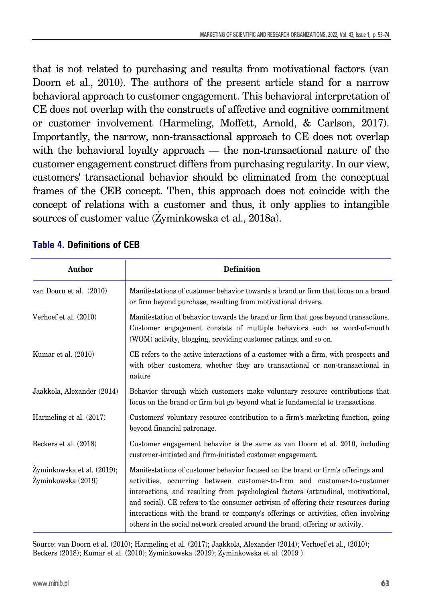that is not related to purchasing and results from motivational factors (van Doorn et al., 2010). The authors of the present article stand for a narrow behavioral approach to customer engagement. This behavioral interpretation of CE does not overlap with the constructs of affective and cognitive commitment or customer involvement (Harmeling, Moffett, Arnold, & Carlson, 2017). Importantly, the narrow, non-transactional approach to CE does not overlap with the behavioral loyalty approach — the non-transactional nature of the customer engagement construct differs from purchasing regularity. In our view, customers' transactional behavior should be eliminated from the conceptual frames of the CEB concept. Then, this approach does not coincide with the concept of relations with a customer and thus, it only applies to intangible sources of customer value (Żyminkowska et al., 2018a).

| Author                                           | <b>Definition</b>                                                                                                                                                                                                                                                                                                                                                                                                                                                                                            |
|--------------------------------------------------|--------------------------------------------------------------------------------------------------------------------------------------------------------------------------------------------------------------------------------------------------------------------------------------------------------------------------------------------------------------------------------------------------------------------------------------------------------------------------------------------------------------|
| van Doorn et al. (2010)                          | Manifestations of customer behavior towards a brand or firm that focus on a brand<br>or firm beyond purchase, resulting from motivational drivers.                                                                                                                                                                                                                                                                                                                                                           |
| Verhoef et al. (2010)                            | Manifestation of behavior towards the brand or firm that goes beyond transactions.<br>Customer engagement consists of multiple behaviors such as word-of-mouth<br>(WOM) activity, blogging, providing customer ratings, and so on.                                                                                                                                                                                                                                                                           |
| Kumar et al. $(2010)$                            | CE refers to the active interactions of a customer with a firm, with prospects and<br>with other customers, whether they are transactional or non-transactional in<br>nature                                                                                                                                                                                                                                                                                                                                 |
| Jaakkola, Alexander (2014)                       | Behavior through which customers make voluntary resource contributions that<br>focus on the brand or firm but go beyond what is fundamental to transactions.                                                                                                                                                                                                                                                                                                                                                 |
| Harmeling et al. (2017)                          | Customers' voluntary resource contribution to a firm's marketing function, going<br>beyond financial patronage.                                                                                                                                                                                                                                                                                                                                                                                              |
| Beckers et al. (2018)                            | Customer engagement behavior is the same as van Doorn et al. 2010, including<br>customer-initiated and firm-initiated customer engagement.                                                                                                                                                                                                                                                                                                                                                                   |
| Zyminkowska et al. (2019);<br>Żyminkowska (2019) | Manifestations of customer behavior focused on the brand or firm's offerings and<br>activities, occurring between customer-to-firm and customer-to-customer<br>interactions, and resulting from psychological factors (attitudinal, motivational,<br>and social). CE refers to the consumer activism of offering their resources during<br>interactions with the brand or company's offerings or activities, often involving<br>others in the social network created around the brand, offering or activity. |

#### **Table 4. Definitions of CEB**

Source: van Doorn et al. (2010); Harmeling et al. (2017); Jaakkola, Alexander (2014); Verhoef et al., (2010); Beckers (2018); Kumar et al. (2010); Żyminkowska (2019); Żyminkowska et al. (2019 ).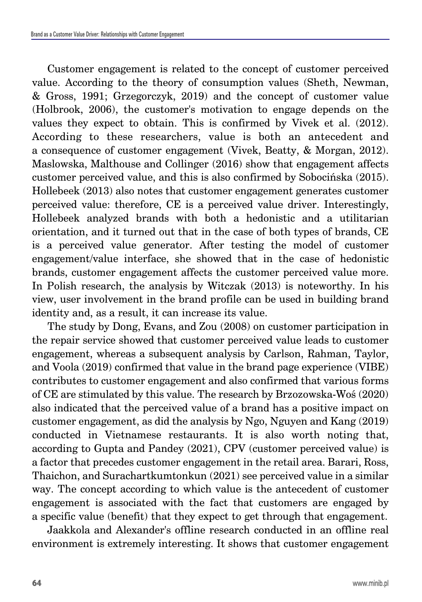Customer engagement is related to the concept of customer perceived value. According to the theory of consumption values (Sheth, Newman, & Gross, 1991; Grzegorczyk, 2019) and the concept of customer value (Holbrook, 2006), the customer's motivation to engage depends on the values they expect to obtain. This is confirmed by Vivek et al. (2012). According to these researchers, value is both an antecedent and a consequence of customer engagement (Vivek, Beatty, & Morgan, 2012). Maslowska, Malthouse and Collinger (2016) show that engagement affects customer perceived value, and this is also confirmed by Sobocińska (2015). Hollebeek (2013) also notes that customer engagement generates customer perceived value: therefore, CE is a perceived value driver. Interestingly, Hollebeek analyzed brands with both a hedonistic and a utilitarian orientation, and it turned out that in the case of both types of brands, CE is a perceived value generator. After testing the model of customer engagement/value interface, she showed that in the case of hedonistic brands, customer engagement affects the customer perceived value more. In Polish research, the analysis by Witczak (2013) is noteworthy. In his view, user involvement in the brand profile can be used in building brand identity and, as a result, it can increase its value.

The study by Dong, Evans, and Zou (2008) on customer participation in the repair service showed that customer perceived value leads to customer engagement, whereas a subsequent analysis by Carlson, Rahman, Taylor, and Voola (2019) confirmed that value in the brand page experience (VIBE) contributes to customer engagement and also confirmed that various forms of CE are stimulated by this value. The research by Brzozowska-Woś (2020) also indicated that the perceived value of a brand has a positive impact on customer engagement, as did the analysis by Ngo, Nguyen and Kang (2019) conducted in Vietnamese restaurants. It is also worth noting that, according to Gupta and Pandey (2021), CPV (customer perceived value) is a factor that precedes customer engagement in the retail area. Barari, Ross, Thaichon, and Surachartkumtonkun (2021) see perceived value in a similar way. The concept according to which value is the antecedent of customer engagement is associated with the fact that customers are engaged by a specific value (benefit) that they expect to get through that engagement.

Jaakkola and Alexander's offline research conducted in an offline real environment is extremely interesting. It shows that customer engagement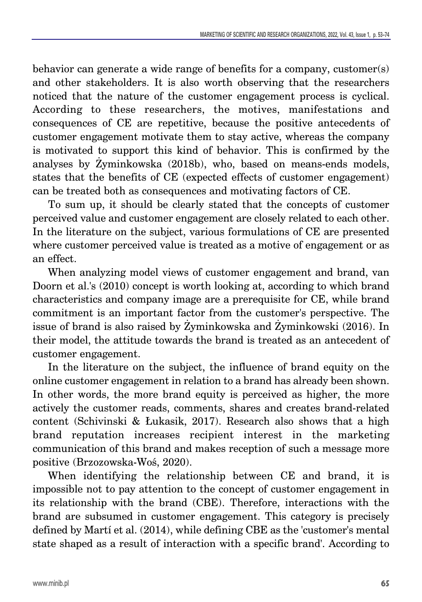behavior can generate a wide range of benefits for a company, customer(s) and other stakeholders. It is also worth observing that the researchers noticed that the nature of the customer engagement process is cyclical. According to these researchers, the motives, manifestations and consequences of CE are repetitive, because the positive antecedents of customer engagement motivate them to stay active, whereas the company is motivated to support this kind of behavior. This is confirmed by the analyses by Żyminkowska (2018b), who, based on means-ends models, states that the benefits of CE (expected effects of customer engagement) can be treated both as consequences and motivating factors of CE.

To sum up, it should be clearly stated that the concepts of customer perceived value and customer engagement are closely related to each other. In the literature on the subject, various formulations of CE are presented where customer perceived value is treated as a motive of engagement or as an effect.

When analyzing model views of customer engagement and brand, van Doorn et al.'s (2010) concept is worth looking at, according to which brand characteristics and company image are a prerequisite for CE, while brand commitment is an important factor from the customer's perspective. The issue of brand is also raised by Żyminkowska and Żyminkowski (2016). In their model, the attitude towards the brand is treated as an antecedent of customer engagement.

In the literature on the subject, the influence of brand equity on the online customer engagement in relation to a brand has already been shown. In other words, the more brand equity is perceived as higher, the more actively the customer reads, comments, shares and creates brand-related content (Schivinski & Łukasik, 2017). Research also shows that a high brand reputation increases recipient interest in the marketing communication of this brand and makes reception of such a message more positive (Brzozowska-Woś, 2020).

When identifying the relationship between CE and brand, it is impossible not to pay attention to the concept of customer engagement in its relationship with the brand (CBE). Therefore, interactions with the brand are subsumed in customer engagement. This category is precisely defined by Martí et al. (2014), while defining CBE as the 'customer's mental state shaped as a result of interaction with a specific brand'. According to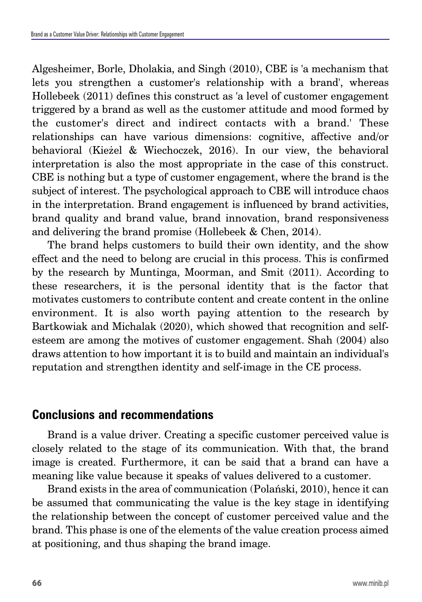Algesheimer, Borle, Dholakia, and Singh (2010), CBE is 'a mechanism that lets you strengthen a customer's relationship with a brand', whereas Hollebeek (2011) defines this construct as 'a level of customer engagement triggered by a brand as well as the customer attitude and mood formed by the customer's direct and indirect contacts with a brand.' These relationships can have various dimensions: cognitive, affective and/or behavioral (Kieżel & Wiechoczek, 2016). In our view, the behavioral interpretation is also the most appropriate in the case of this construct. CBE is nothing but a type of customer engagement, where the brand is the subject of interest. The psychological approach to CBE will introduce chaos in the interpretation. Brand engagement is influenced by brand activities, brand quality and brand value, brand innovation, brand responsiveness and delivering the brand promise (Hollebeek & Chen, 2014).

The brand helps customers to build their own identity, and the show effect and the need to belong are crucial in this process. This is confirmed by the research by Muntinga, Moorman, and Smit (2011). According to these researchers, it is the personal identity that is the factor that motivates customers to contribute content and create content in the online environment. It is also worth paying attention to the research by Bartkowiak and Michalak (2020), which showed that recognition and selfesteem are among the motives of customer engagement. Shah (2004) also draws attention to how important it is to build and maintain an individual's reputation and strengthen identity and self-image in the CE process.

# **Conclusions and recommendations**

Brand is a value driver. Creating a specific customer perceived value is closely related to the stage of its communication. With that, the brand image is created. Furthermore, it can be said that a brand can have a meaning like value because it speaks of values delivered to a customer.

Brand exists in the area of communication (Polański, 2010), hence it can be assumed that communicating the value is the key stage in identifying the relationship between the concept of customer perceived value and the brand. This phase is one of the elements of the value creation process aimed at positioning, and thus shaping the brand image.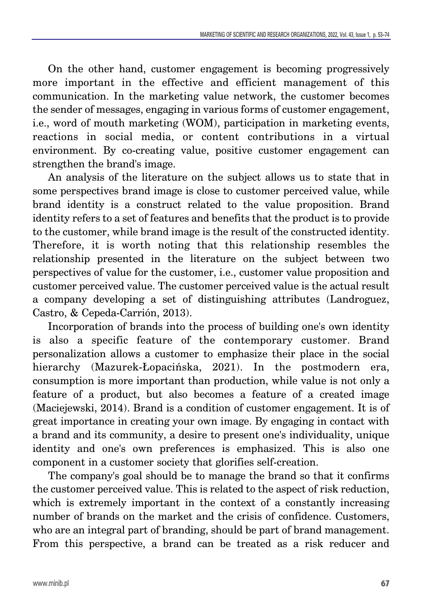On the other hand, customer engagement is becoming progressively more important in the effective and efficient management of this communication. In the marketing value network, the customer becomes the sender of messages, engaging in various forms of customer engagement, i.e., word of mouth marketing (WOM), participation in marketing events, reactions in social media, or content contributions in a virtual environment. By co-creating value, positive customer engagement can strengthen the brand's image.

An analysis of the literature on the subject allows us to state that in some perspectives brand image is close to customer perceived value, while brand identity is a construct related to the value proposition. Brand identity refers to a set of features and benefits that the product is to provide to the customer, while brand image is the result of the constructed identity. Therefore, it is worth noting that this relationship resembles the relationship presented in the literature on the subject between two perspectives of value for the customer, i.e., customer value proposition and customer perceived value. The customer perceived value is the actual result a company developing a set of distinguishing attributes (Landroguez, Castro, & Cepeda-Carrión, 2013).

Incorporation of brands into the process of building one's own identity is also a specific feature of the contemporary customer. Brand personalization allows a customer to emphasize their place in the social hierarchy (Mazurek-Łopacińska, 2021). In the postmodern era, consumption is more important than production, while value is not only a feature of a product, but also becomes a feature of a created image (Maciejewski, 2014). Brand is a condition of customer engagement. It is of great importance in creating your own image. By engaging in contact with a brand and its community, a desire to present one's individuality, unique identity and one's own preferences is emphasized. This is also one component in a customer society that glorifies self-creation.

The company's goal should be to manage the brand so that it confirms the customer perceived value. This is related to the aspect of risk reduction, which is extremely important in the context of a constantly increasing number of brands on the market and the crisis of confidence. Customers, who are an integral part of branding, should be part of brand management. From this perspective, a brand can be treated as a risk reducer and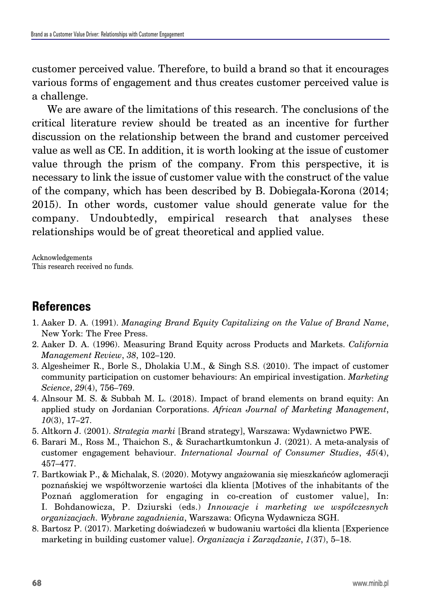customer perceived value. Therefore, to build a brand so that it encourages various forms of engagement and thus creates customer perceived value is a challenge.

We are aware of the limitations of this research. The conclusions of the critical literature review should be treated as an incentive for further discussion on the relationship between the brand and customer perceived value as well as CE. In addition, it is worth looking at the issue of customer value through the prism of the company. From this perspective, it is necessary to link the issue of customer value with the construct of the value of the company, which has been described by B. Dobiegała-Korona (2014; 2015). In other words, customer value should generate value for the company. Undoubtedly, empirical research that analyses these relationships would be of great theoretical and applied value.

Acknowledgements This research received no funds.

# **References**

- 1. Aaker D. A. (1991). *Managing Brand Equity Capitalizing on the Value of Brand Name*, New York: The Free Press.
- 2. Aaker D. A. (1996). Measuring Brand Equity across Products and Markets. *California Management Review*, *38*, 102–120.
- 3. Algesheimer R., Borle S., Dholakia U.M., & Singh S.S. (2010). The impact of customer community participation on customer behaviours: An empirical investigation. *Marketing Science*, *29*(4), 756–769.
- 4. Alnsour M. S. & Subbah M. L. (2018). Impact of brand elements on brand equity: An applied study on Jordanian Corporations. *African Journal of Marketing Management*, *10*(3), 17–27.
- 5. Altkorn J. (2001). *Strategia marki* [Brand strategy], Warszawa: Wydawnictwo PWE.
- 6. Barari M., Ross M., Thaichon S., & Surachartkumtonkun J. (2021). A meta-analysis of customer engagement behaviour. *International Journal of Consumer Studies*, *45*(4), 457–477.
- 7. Bartkowiak P., & Michalak, S. (2020). Motywy angażowania się mieszkańców aglomeracji poznańskiej we współtworzenie wartości dla klienta [Motives of the inhabitants of the Poznań agglomeration for engaging in co-creation of customer value], In: I. Bohdanowicza, P. Dziurski (eds.) *Innowacje i marketing we współczesnych organizacjach. Wybrane zagadnienia*, Warszawa: Oficyna Wydawnicza SGH.
- 8. Bartosz P. (2017). Marketing doświadczeń w budowaniu wartości dla klienta [Experience marketing in building customer value]. *Organizacja i Zarządzanie*, *1*(37), 5–18.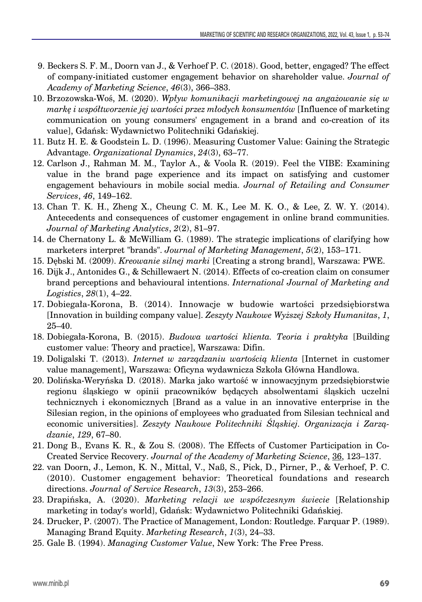- 9. Beckers S. F. M., Doorn van J., & Verhoef P. C. (2018). Good, better, engaged? The effect of company-initiated customer engagement behavior on shareholder value. *Journal of Academy of Marketing Science*, *46*(3), 366–383.
- 10. Brzozowska-Woś, M. (2020). *Wpływ komunikacji marketingowej na angażowanie się w markę i współtworzenie jej wartości przez młodych konsumentów* [Influence of marketing communication on young consumers' engagement in a brand and co-creation of its value], Gdańsk: Wydawnictwo Politechniki Gdańskiej.
- 11. Butz H. E. & Goodstein L. D. (1996). Measuring Customer Value: Gaining the Strategic Advantage. *Organizational Dynamics*, *24*(3), 63–77.
- 12. Carlson J., Rahman M. M., Taylor A., & Voola R. (2019). Feel the VIBE: Examining value in the brand page experience and its impact on satisfying and customer engagement behaviours in mobile social media. *Journal of Retailing and Consumer Services*, *46*, 149–162.
- 13. Chan T. K. H., Zheng X., Cheung C. M. K., Lee M. K. O., & Lee, Z. W. Y. (2014). Antecedents and consequences of customer engagement in online brand communities. *Journal of Marketing Analytics*, *2*(2), 81–97.
- 14. de Chernatony L. & McWilliam G. (1989). The strategic implications of clarifying how marketers interpret "brands". *Journal of Marketing Management*, *5*(2), 153–171.
- 15. Dębski M. (2009). *Kreowanie silnej marki* [Creating a strong brand], Warszawa: PWE.
- 16. Dijk J., Antonides G., & Schillewaert N. (2014). Effects of co-creation claim on consumer brand perceptions and behavioural intentions. *International Journal of Marketing and Logistics*, *28*(1), 4–22.
- 17. Dobiegała-Korona, B. (2014). Innowacje w budowie wartości przedsiębiorstwa [Innovation in building company value]. *Zeszyty Naukowe Wyższej Szkoły Humanitas*, *1*, 25–40.
- 18. Dobiegała-Korona, B. (2015). *Budowa wartości klienta. Teoria i praktyka* [Building customer value: Theory and practice], Warszawa: Difin.
- 19. Doligalski T. (2013). *Internet w zarządzaniu wartością klienta* [Internet in customer value management], Warszawa: Oficyna wydawnicza Szkoła Główna Handlowa.
- 20. Dolińska-Weryńska D. (2018). Marka jako wartość w innowacyjnym przedsiębiorstwie regionu śląskiego w opinii pracowników będących absolwentami śląskich uczelni technicznych i ekonomicznych [Brand as a value in an innovative enterprise in the Silesian region, in the opinions of employees who graduated from Silesian technical and economic universities]. *Zeszyty Naukowe Politechniki Śląskiej. Organizacja i Zarządzanie*, *129*, 67–80.
- 21. Dong B., Evans K. R., & Zou S. (2008). The Effects of Customer Participation in Co-Created Service Recovery. *Journal of the Academy of Marketing Science*, 36, 123–137.
- 22. van Doorn, J., Lemon, K. N., Mittal, V., Naß, S., Pick, D., Pirner, P., & Verhoef, P. C. (2010). Customer engagement behavior: Theoretical foundations and research directions. *Journal of Service Research*, *13*(3), 253–266.
- 23. Drapińska, A. (2020). *Marketing relacji we współczesnym świecie* [Relationship marketing in today's world], Gdańsk: Wydawnictwo Politechniki Gdańskiej.
- 24. Drucker, P. (2007). The Practice of Management, London: Routledge. Farquar P. (1989). Managing Brand Equity. *Marketing Research*, *1*(3), 24–33.
- 25. Gale B. (1994). *Managing Customer Value*, New York: The Free Press.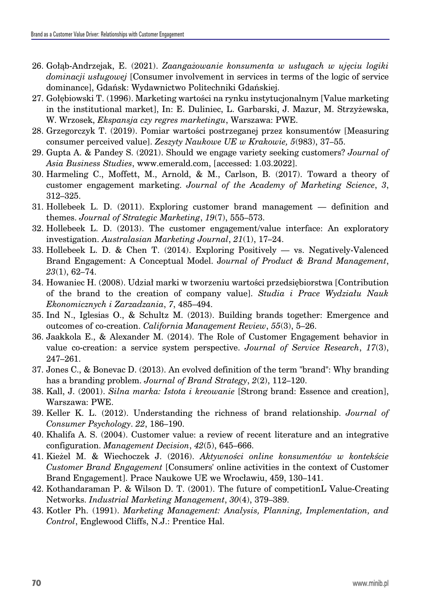- 26. Gołąb-Andrzejak, E. (2021). *Zaangażowanie konsumenta w usługach w ujęciu logiki dominacji usługowej* [Consumer involvement in services in terms of the logic of service dominance], Gdańsk: Wydawnictwo Politechniki Gdańskiej.
- 27. Gołębiowski T. (1996). Marketing wartości na rynku instytucjonalnym [Value marketing in the institutional market], In: E. Duliniec, L. Garbarski, J. Mazur, M. Strzyżewska, W. Wrzosek, *Ekspansja czy regres marketingu*, Warszawa: PWE.
- 28. Grzegorczyk T. (2019). Pomiar wartości postrzeganej przez konsumentów [Measuring consumer perceived value]. *Zeszyty Naukowe UE w Krakowie, 5*(983), 37–55.
- 29. Gupta A. & Pandey S. (2021). Should we engage variety seeking customers? *Journal of Asia Business Studies*, www.emerald.com, [accessed: 1.03.2022].
- 30. Harmeling C., Moffett, M., Arnold, & M., Carlson, B. (2017). Toward a theory of customer engagement marketing. *Journal of the Academy of Marketing Science*, *3*, 312–325.
- 31. Hollebeek L. D. (2011). Exploring customer brand management definition and themes. *Journal of Strategic Marketing*, *19*(7), 555–573.
- 32. Hollebeek L. D. (2013). The customer engagement/value interface: An exploratory investigation. *Australasian Marketing Journal*, *21*(1), 17–24.
- 33. Hollebeek L. D. & Chen T. (2014). Exploring Positively vs. Negatively-Valenced Brand Engagement: A Conceptual Model. J*ournal of Product & Brand Management*, *23*(1), 62–74.
- 34. Howaniec H. (2008). Udział marki w tworzeniu wartości przedsiębiorstwa [Contribution of the brand to the creation of company value]. *Studia i Prace Wydziału Nauk Ekonomicznych i Zarzadzania*, *7*, 485–494.
- 35. Ind N., Iglesias O., & Schultz M. (2013). Building brands together: Emergence and outcomes of co-creation. *California Management Review*, *55*(3), 5–26.
- 36. Jaakkola E., & Alexander M. (2014). The Role of Customer Engagement behavior in value co-creation: a service system perspective. *Journal of Service Research*, *17*(3), 247–261.
- 37. Jones C., & Bonevac D. (2013). An evolved definition of the term "brand": Why branding has a branding problem. *Journal of Brand Strategy*, *2*(2), 112–120.
- 38. Kall, J. (2001). *Silna marka: Istota i kreowanie* [Strong brand: Essence and creation], Warszawa: PWE.
- 39. Keller K. L. (2012). Understanding the richness of brand relationship. *Journal of Consumer Psychology*. *22*, 186–190.
- 40. Khalifa A. S. (2004). Customer value: a review of recent literature and an integrative configuration. *Management Decision*, *42*(5), 645–666.
- 41. Kieżel M. & Wiechoczek J. (2016). *Aktywności online konsumentów w kontekście Customer Brand Engagement* [Consumers' online activities in the context of Customer Brand Engagement]. Prace Naukowe UE we Wrocławiu, 459, 130–141.
- 42. Kothandaraman P. & Wilson D. T. (2001). The future of competitionL Value-Creating Networks. *Industrial Marketing Management*, *30*(4), 379–389.
- 43. Kotler Ph. (1991). *Marketing Management: Analysis, Planning, Implementation, and Control*, Englewood Cliffs, N.J.: Prentice Hal.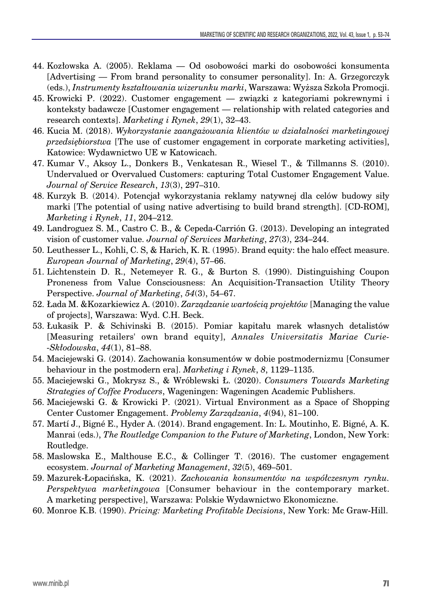- 44. Kozłowska A. (2005). Reklama Od osobowości marki do osobowości konsumenta [Advertising — From brand personality to consumer personality]. In: A. Grzegorczyk (eds.), *Instrumenty kształtowania wizerunku marki*, Warszawa: Wyższa Szkoła Promocji.
- 45. Krowicki P. (2022). Customer engagement związki z kategoriami pokrewnymi i konteksty badawcze [Customer engagement — relationship with related categories and research contexts]. *Marketing i Rynek*, *29*(1), 32–43.
- 46. Kucia M. (2018). *Wykorzystanie zaangażowania klientów w działalności marketingowej przedsiębiorstwa* [The use of customer engagement in corporate marketing activities], Katowice: Wydawnictwo UE w Katowicach.
- 47. Kumar V., Aksoy L., Donkers B., Venkatesan R., Wiesel T., & Tillmanns S. (2010). Undervalued or Overvalued Customers: capturing Total Customer Engagement Value. *Journal of Service Research*, *13*(3), 297–310.
- 48. Kurzyk B. (2014). Potencjał wykorzystania reklamy natywnej dla celów budowy siły marki [The potential of using native advertising to build brand strength]. [CD-ROM], *Marketing i Rynek*, *11*, 204–212.
- 49. Landroguez S. M., Castro C. B., & Cepeda-Carrión G. (2013). Developing an integrated vision of customer value. *Journal of Services Marketing*, *27*(3), 234–244.
- 50. Leuthesser L., Kohli, C. S, & Harich, K. R. (1995). Brand equity: the halo effect measure. *European Journal of Marketing*, *29*(4), 57–66.
- 51. Lichtenstein D. R., Netemeyer R. G., & Burton S. (1990). Distinguishing Coupon Proneness from Value Consciousness: An Acquisition-Transaction Utility Theory Perspective. *Journal of Marketing*, *54*(3), 54–67.
- 52. Łada M. &Kozarkiewicz A. (2010). *Zarządzanie wartością projektów* [Managing the value of projects], Warszawa: Wyd. C.H. Beck.
- 53. Łukasik P. & Schivinski B. (2015). Pomiar kapitału marek własnych detalistów [Measuring retailers' own brand equity], *Annales Universitatis Mariae Curie- -Skłodowska*, *44*(1), 81–88.
- 54. Maciejewski G. (2014). Zachowania konsumentów w dobie postmodernizmu [Consumer behaviour in the postmodern era]. *Marketing i Rynek*, *8*, 1129–1135.
- 55. Maciejewski G., Mokrysz S., & Wróblewski Ł. (2020). *Consumers Towards Marketing Strategies of Coffee Producers*, Wageningen: Wageningen Academic Publishers.
- 56. Maciejewski G. & Krowicki P. (2021). Virtual Environment as a Space of Shopping Center Customer Engagement. *Problemy Zarządzania*, *4*(94), 81–100.
- 57. Martí J., Bigné E., Hyder A. (2014). Brand engagement. In: L. Moutinho, E. Bigné, A. K. Manrai (eds.), *The Routledge Companion to the Future of Marketing*, London, New York: Routledge.
- 58. Maslowska E., Malthouse E.C., & Collinger T. (2016). The customer engagement ecosystem. *Journal of Marketing Management*, *32*(5), 469–501.
- 59. Mazurek-Łopacińska, K. (2021). *Zachowania konsumentów na współczesnym rynku. Perspektywa marketingowa* [Consumer behaviour in the contemporary market. A marketing perspective], Warszawa: Polskie Wydawnictwo Ekonomiczne.
- 60. Monroe K.B. (1990). *Pricing: Marketing Profitable Decisions*, New York: Mc Graw-Hill.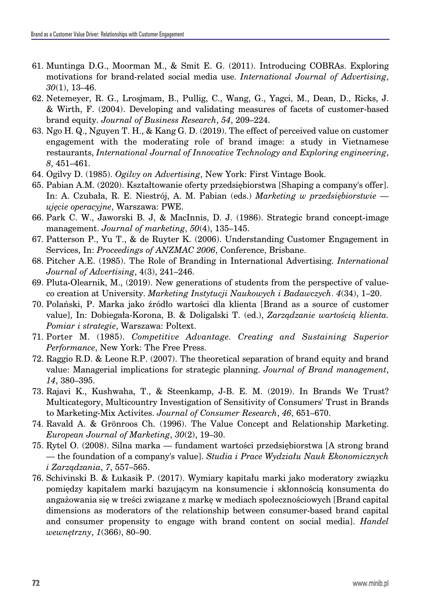- 61. Muntinga D.G., Moorman M., & Smit E. G. (2011). Introducing COBRAs. Exploring motivations for brand-related social media use. *International Journal of Advertising*, *30*(1), 13–46.
- 62. Netemeyer, R. G., Lrosjmam, B., Pullig, C., Wang, G., Yagci, M., Dean, D., Ricks, J. & Wirth, F. (2004). Developing and validating measures of facets of customer-based brand equity. *Journal of Business Research*, *54*, 209–224.
- 63. Ngo H. Q., Nguyen T. H., & Kang G. D. (2019). The effect of perceived value on customer engagement with the moderating role of brand image: a study in Vietnamese restaurants, *International Journal of Innovative Technology and Exploring engineering*, *8*, 451–461.
- 64. Ogilvy D. (1985). *Ogilvy on Advertising*, New York: First Vintage Book.
- 65. Pabian A.M. (2020). Kształtowanie oferty przedsiębiorstwa [Shaping a company's offer]. In: A. Czubała, R. E. Niestrój, A. M. Pabian (eds.) *Marketing w przedsiębiorstwie ujęcie operacyjne*, Warszawa: PWE.
- 66. Park C. W., Jaworski B. J, & MacInnis, D. J. (1986). Strategic brand concept-image management. *Journal of marketing*, *50*(4), 135–145.
- 67. Patterson P., Yu T., & de Ruyter K. (2006). Understanding Customer Engagement in Services, In: *Proceedings of ANZMAC 2006*, Conference, Brisbane.
- 68. Pitcher A.E. (1985). The Role of Branding in International Advertising. *International Journal of Advertising*, 4(3), 241–246.
- 69. Pluta-Olearnik, M., (2019). New generations of students from the perspective of valueco creation at University. *Marketing Instytucji Naukowych i Badawczych*. *4*(34), 1–20.
- 70. Polański, P. Marka jako źródło wartości dla klienta [Brand as a source of customer value], In: Dobiegała-Korona, B. & Doligalski T. (ed.), *Zarządzanie wartością klienta. Pomiar i strategie*, Warszawa: Poltext.
- 71. Porter M. (1985). *Competitive Advantage. Creating and Sustaining Superior Performance*, New York: The Free Press.
- 72. Raggio R.D. & Leone R.P. (2007). The theoretical separation of brand equity and brand value: Managerial implications for strategic planning. *Journal of Brand management*, *14*, 380–395.
- 73. Rajavi K., Kushwaha, T., & Steenkamp, J-B. E. M. (2019). In Brands We Trust? Multicategory, Multicountry Investigation of Sensitivity of Consumers' Trust in Brands to Marketing-Mix Activites. *Journal of Consumer Research*, *46*, 651–670.
- 74. Ravald A. & Grönroos Ch. (1996). The Value Concept and Relationship Marketing. *European Journal of Marketing*, *30*(2), 19–30.
- 75. Rytel O. (2008). Silna marka fundament wartości przedsiębiorstwa [A strong brand — the foundation of a company's value]. *Studia i Prace Wydziału Nauk Ekonomicznych i Zarządzania*, *7*, 557–565.
- 76. Schivinski B. & Łukasik P. (2017). Wymiary kapitału marki jako moderatory związku pomiędzy kapitałem marki bazującym na konsumencie i skłonnością konsumenta do angażowania się w treści związane z markę w mediach społecznościowych [Brand capital dimensions as moderators of the relationship between consumer-based brand capital and consumer propensity to engage with brand content on social media]. *Handel wewnętrzny*, *1*(366), 80–90.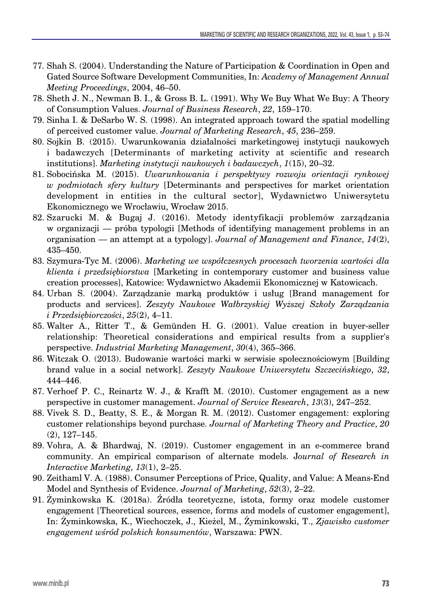- 77. Shah S. (2004). Understanding the Nature of Participation & Coordination in Open and Gated Source Software Development Communities, In: *Academy of Management Annual Meeting Proceedings*, 2004, 46–50.
- 78. Sheth J. N., Newman B. I., & Gross B. L. (1991). Why We Buy What We Buy: A Theory of Consumption Values. *Journal of Business Research*, *22*, 159–170.
- 79. Sinha I. & DeSarbo W. S. (1998). An integrated approach toward the spatial modelling of perceived customer value. *Journal of Marketing Research*, *45*, 236–259.
- 80. Sojkin B. (2015). Uwarunkowania działalności marketingowej instytucji naukowych i badawczych [Determinants of marketing activity at scientific and research institutions]. *Marketing instytucji naukowych i badawczych*, *1*(15), 20–32.
- 81. Sobocińska M. (2015). *Uwarunkowania i perspektywy rozwoju orientacji rynkowej w podmiotach sfery kultury* [Determinants and perspectives for market orientation development in entities in the cultural sector], Wydawnictwo Uniwersytetu Ekonomicznego we Wrocławiu, Wrocław 2015.
- 82. Szarucki M. & Bugaj J. (2016). Metody identyfikacji problemów zarządzania w organizacji — próba typologii [Methods of identifying management problems in an organisation — an attempt at a typology]. *Journal of Management and Finance*, *14*(2), 435–450.
- 83. Szymura-Tyc M. (2006). *Marketing we współczesnych procesach tworzenia wartości dla klienta i przedsiębiorstwa* [Marketing in contemporary customer and business value creation processes], Katowice: Wydawnictwo Akademii Ekonomicznej w Katowicach.
- 84. Urban S. (2004). Zarządzanie marką produktów i usług [Brand management for products and services]. *Zeszyty Naukowe Wałbrzyskiej Wyższej Szkoły Zarządzania i Przedsiębiorczości*, *25*(2), 4–11.
- 85. Walter A., Ritter T., & Gemünden H. G. (2001). Value creation in buyer-seller relationship: Theoretical considerations and empirical results from a supplier's perspective. *Industrial Marketing Management*, *30*(4), 365–366.
- 86. Witczak O. (2013). Budowanie wartości marki w serwisie społecznościowym [Building brand value in a social network]. *Zeszyty Naukowe Uniwersytetu Szczecińskiego*, *32*, 444–446.
- 87. Verhoef P. C., Reinartz W. J., & Krafft M. (2010). Customer engagement as a new perspective in customer management. *Journal of Service Research*, *13*(3), 247–252.
- 88. Vivek S. D., Beatty, S. E., & Morgan R. M. (2012). Customer engagement: exploring customer relationships beyond purchase. *Journal of Marketing Theory and Practice*, *20* (2), 127–145.
- 89. Vohra, A. & Bhardwaj, N. (2019). Customer engagement in an e-commerce brand community. An empirical comparison of alternate models. J*ournal of Research in Interactive Marketing, 13*(1), 2–25.
- 90. Zeithaml V. A. (1988). Consumer Perceptions of Price, Quality, and Value: A Means-End Model and Synthesis of Evidence. *Journal of Marketing*, *52*(3), 2–22.
- 91. Żyminkowska K. (2018a). Źródła teoretyczne, istota, formy oraz modele customer engagement [Theoretical sources, essence, forms and models of customer engagement], In: Żyminkowska, K., Wiechoczek, J., Kieżel, M., Żyminkowski, T., *Zjawisko customer engagement wśród polskich konsumentów*, Warszawa: PWN.